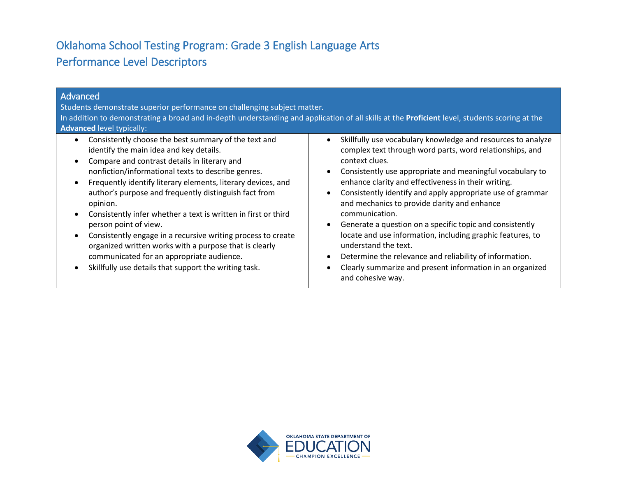# Oklahoma School Testing Program: Grade 3 English Language Arts Performance Level Descriptors

| Advanced<br>Students demonstrate superior performance on challenging subject matter.<br>In addition to demonstrating a broad and in-depth understanding and application of all skills at the Proficient level, students scoring at the<br><b>Advanced level typically:</b>                                                                                                                                                                                                                                                                                                                                                                                            |                                                                                                                                                                                                                                                                                                                                                                                                                                                                                                                                                                                                                                                                                                                                                                |
|-----------------------------------------------------------------------------------------------------------------------------------------------------------------------------------------------------------------------------------------------------------------------------------------------------------------------------------------------------------------------------------------------------------------------------------------------------------------------------------------------------------------------------------------------------------------------------------------------------------------------------------------------------------------------|----------------------------------------------------------------------------------------------------------------------------------------------------------------------------------------------------------------------------------------------------------------------------------------------------------------------------------------------------------------------------------------------------------------------------------------------------------------------------------------------------------------------------------------------------------------------------------------------------------------------------------------------------------------------------------------------------------------------------------------------------------------|
| Consistently choose the best summary of the text and<br>identify the main idea and key details.<br>Compare and contrast details in literary and<br>nonfiction/informational texts to describe genres.<br>Frequently identify literary elements, literary devices, and<br>author's purpose and frequently distinguish fact from<br>opinion.<br>Consistently infer whether a text is written in first or third<br>person point of view.<br>Consistently engage in a recursive writing process to create<br>organized written works with a purpose that is clearly<br>communicated for an appropriate audience.<br>Skillfully use details that support the writing task. | Skillfully use vocabulary knowledge and resources to analyze<br>$\bullet$<br>complex text through word parts, word relationships, and<br>context clues.<br>Consistently use appropriate and meaningful vocabulary to<br>$\bullet$<br>enhance clarity and effectiveness in their writing.<br>Consistently identify and apply appropriate use of grammar<br>$\bullet$<br>and mechanics to provide clarity and enhance<br>communication.<br>Generate a question on a specific topic and consistently<br>$\bullet$<br>locate and use information, including graphic features, to<br>understand the text.<br>Determine the relevance and reliability of information.<br>$\bullet$<br>Clearly summarize and present information in an organized<br>and cohesive way. |

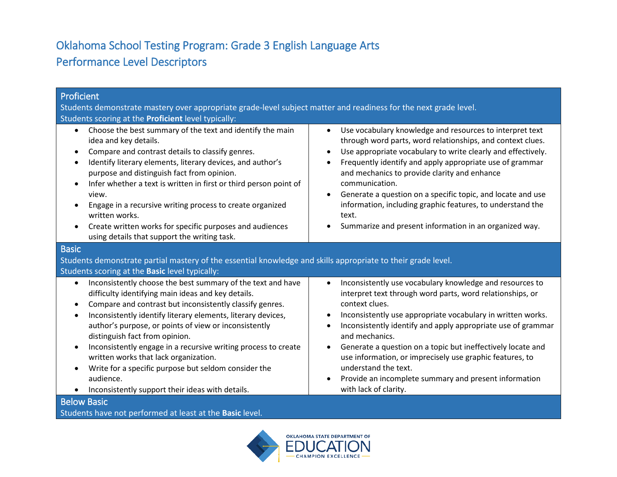# Oklahoma School Testing Program: Grade 3 English Language Arts Performance Level Descriptors

| <b>Proficient</b><br>Students demonstrate mastery over appropriate grade-level subject matter and readiness for the next grade level.<br>Students scoring at the Proficient level typically:                                                                                                                                                                                                                                                                                                                                                                                                                                                  |                                                                                                                                                                                                                                                                                                                                                                                                                                                                                                                                            |  |
|-----------------------------------------------------------------------------------------------------------------------------------------------------------------------------------------------------------------------------------------------------------------------------------------------------------------------------------------------------------------------------------------------------------------------------------------------------------------------------------------------------------------------------------------------------------------------------------------------------------------------------------------------|--------------------------------------------------------------------------------------------------------------------------------------------------------------------------------------------------------------------------------------------------------------------------------------------------------------------------------------------------------------------------------------------------------------------------------------------------------------------------------------------------------------------------------------------|--|
| Choose the best summary of the text and identify the main<br>$\bullet$<br>idea and key details.<br>Compare and contrast details to classify genres.<br>$\bullet$<br>Identify literary elements, literary devices, and author's<br>$\bullet$<br>purpose and distinguish fact from opinion.<br>Infer whether a text is written in first or third person point of<br>$\bullet$<br>view.<br>Engage in a recursive writing process to create organized<br>$\bullet$<br>written works.<br>Create written works for specific purposes and audiences<br>$\bullet$<br>using details that support the writing task.                                     | Use vocabulary knowledge and resources to interpret text<br>$\bullet$<br>through word parts, word relationships, and context clues.<br>Use appropriate vocabulary to write clearly and effectively.<br>Frequently identify and apply appropriate use of grammar<br>and mechanics to provide clarity and enhance<br>communication.<br>Generate a question on a specific topic, and locate and use<br>information, including graphic features, to understand the<br>text.<br>Summarize and present information in an organized way.          |  |
| <b>Basic</b><br>Students demonstrate partial mastery of the essential knowledge and skills appropriate to their grade level.                                                                                                                                                                                                                                                                                                                                                                                                                                                                                                                  |                                                                                                                                                                                                                                                                                                                                                                                                                                                                                                                                            |  |
| Students scoring at the Basic level typically:                                                                                                                                                                                                                                                                                                                                                                                                                                                                                                                                                                                                |                                                                                                                                                                                                                                                                                                                                                                                                                                                                                                                                            |  |
| Inconsistently choose the best summary of the text and have<br>$\bullet$<br>difficulty identifying main ideas and key details.<br>Compare and contrast but inconsistently classify genres.<br>$\bullet$<br>Inconsistently identify literary elements, literary devices,<br>$\bullet$<br>author's purpose, or points of view or inconsistently<br>distinguish fact from opinion.<br>Inconsistently engage in a recursive writing process to create<br>$\bullet$<br>written works that lack organization.<br>Write for a specific purpose but seldom consider the<br>$\bullet$<br>audience.<br>Inconsistently support their ideas with details. | Inconsistently use vocabulary knowledge and resources to<br>$\bullet$<br>interpret text through word parts, word relationships, or<br>context clues.<br>Inconsistently use appropriate vocabulary in written works.<br>Inconsistently identify and apply appropriate use of grammar<br>and mechanics.<br>Generate a question on a topic but ineffectively locate and<br>use information, or imprecisely use graphic features, to<br>understand the text.<br>Provide an incomplete summary and present information<br>with lack of clarity. |  |
| <b>Below Basic</b>                                                                                                                                                                                                                                                                                                                                                                                                                                                                                                                                                                                                                            |                                                                                                                                                                                                                                                                                                                                                                                                                                                                                                                                            |  |

Students have not performed at least at the **Basic** level.

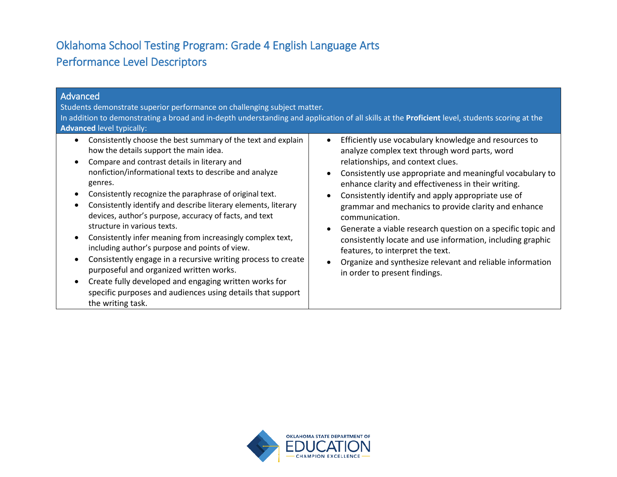# Oklahoma School Testing Program: Grade 4 English Language Arts Performance Level Descriptors

| Advanced<br>Students demonstrate superior performance on challenging subject matter.<br>In addition to demonstrating a broad and in-depth understanding and application of all skills at the Proficient level, students scoring at the<br><b>Advanced level typically:</b>                                                                                                                                                                                                                                                                                                                                                                                                                                                                                                                                               |                                                                                                                                                                                                                                                                                                                                                                                                                                                                                                                                                                                                                                                                             |  |
|--------------------------------------------------------------------------------------------------------------------------------------------------------------------------------------------------------------------------------------------------------------------------------------------------------------------------------------------------------------------------------------------------------------------------------------------------------------------------------------------------------------------------------------------------------------------------------------------------------------------------------------------------------------------------------------------------------------------------------------------------------------------------------------------------------------------------|-----------------------------------------------------------------------------------------------------------------------------------------------------------------------------------------------------------------------------------------------------------------------------------------------------------------------------------------------------------------------------------------------------------------------------------------------------------------------------------------------------------------------------------------------------------------------------------------------------------------------------------------------------------------------------|--|
| Consistently choose the best summary of the text and explain<br>how the details support the main idea.<br>Compare and contrast details in literary and<br>nonfiction/informational texts to describe and analyze<br>genres.<br>Consistently recognize the paraphrase of original text.<br>Consistently identify and describe literary elements, literary<br>devices, author's purpose, accuracy of facts, and text<br>structure in various texts.<br>Consistently infer meaning from increasingly complex text,<br>including author's purpose and points of view.<br>Consistently engage in a recursive writing process to create<br>purposeful and organized written works.<br>Create fully developed and engaging written works for<br>specific purposes and audiences using details that support<br>the writing task. | Efficiently use vocabulary knowledge and resources to<br>$\bullet$<br>analyze complex text through word parts, word<br>relationships, and context clues.<br>Consistently use appropriate and meaningful vocabulary to<br>enhance clarity and effectiveness in their writing.<br>Consistently identify and apply appropriate use of<br>grammar and mechanics to provide clarity and enhance<br>communication.<br>Generate a viable research question on a specific topic and<br>consistently locate and use information, including graphic<br>features, to interpret the text.<br>Organize and synthesize relevant and reliable information<br>in order to present findings. |  |

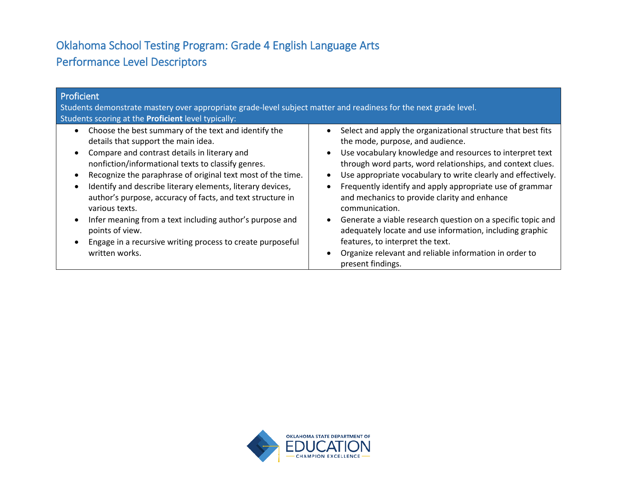# Oklahoma School Testing Program: Grade 4 English Language Arts Performance Level Descriptors

| Proficient<br>Students demonstrate mastery over appropriate grade-level subject matter and readiness for the next grade level.<br>Students scoring at the Proficient level typically:                                                                                                                                                                                                                                                                                                                                                                                         |                                                                                                                                                                                                                                                                                                                                                                                                                                                                                                                                                                                                                                                                                                               |
|-------------------------------------------------------------------------------------------------------------------------------------------------------------------------------------------------------------------------------------------------------------------------------------------------------------------------------------------------------------------------------------------------------------------------------------------------------------------------------------------------------------------------------------------------------------------------------|---------------------------------------------------------------------------------------------------------------------------------------------------------------------------------------------------------------------------------------------------------------------------------------------------------------------------------------------------------------------------------------------------------------------------------------------------------------------------------------------------------------------------------------------------------------------------------------------------------------------------------------------------------------------------------------------------------------|
| Choose the best summary of the text and identify the<br>details that support the main idea.<br>Compare and contrast details in literary and<br>nonfiction/informational texts to classify genres.<br>Recognize the paraphrase of original text most of the time.<br>Identify and describe literary elements, literary devices,<br>author's purpose, accuracy of facts, and text structure in<br>various texts.<br>Infer meaning from a text including author's purpose and<br>points of view.<br>Engage in a recursive writing process to create purposeful<br>written works. | Select and apply the organizational structure that best fits<br>$\bullet$<br>the mode, purpose, and audience.<br>Use vocabulary knowledge and resources to interpret text<br>$\bullet$<br>through word parts, word relationships, and context clues.<br>Use appropriate vocabulary to write clearly and effectively.<br>Frequently identify and apply appropriate use of grammar<br>$\bullet$<br>and mechanics to provide clarity and enhance<br>communication.<br>Generate a viable research question on a specific topic and<br>adequately locate and use information, including graphic<br>features, to interpret the text.<br>Organize relevant and reliable information in order to<br>present findings. |

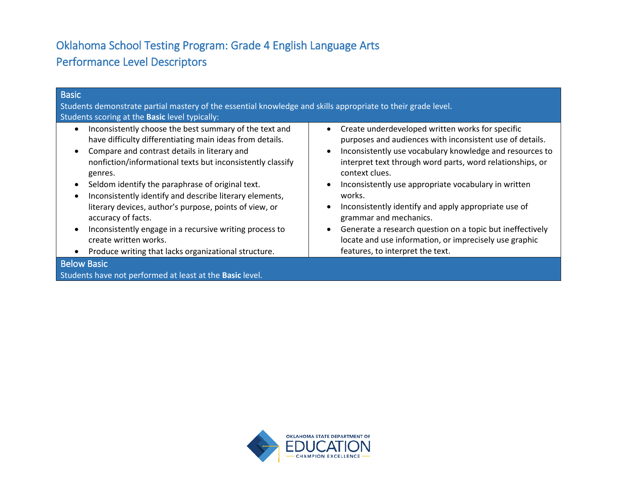# Oklahoma School Testing Program: Grade 4 English Language Arts Performance Level Descriptors

| <b>Basic</b>                                                                                                                                                                                                                                                                                                                                                                                                                                                                                                                                                                           |                                                                                                                                                                                                                                                                                                                                                                                                                                                                                                                                                                                                  |
|----------------------------------------------------------------------------------------------------------------------------------------------------------------------------------------------------------------------------------------------------------------------------------------------------------------------------------------------------------------------------------------------------------------------------------------------------------------------------------------------------------------------------------------------------------------------------------------|--------------------------------------------------------------------------------------------------------------------------------------------------------------------------------------------------------------------------------------------------------------------------------------------------------------------------------------------------------------------------------------------------------------------------------------------------------------------------------------------------------------------------------------------------------------------------------------------------|
| Students demonstrate partial mastery of the essential knowledge and skills appropriate to their grade level.                                                                                                                                                                                                                                                                                                                                                                                                                                                                           |                                                                                                                                                                                                                                                                                                                                                                                                                                                                                                                                                                                                  |
| Students scoring at the <b>Basic</b> level typically:                                                                                                                                                                                                                                                                                                                                                                                                                                                                                                                                  |                                                                                                                                                                                                                                                                                                                                                                                                                                                                                                                                                                                                  |
| Inconsistently choose the best summary of the text and<br>have difficulty differentiating main ideas from details.<br>Compare and contrast details in literary and<br>nonfiction/informational texts but inconsistently classify<br>genres.<br>Seldom identify the paraphrase of original text.<br>Inconsistently identify and describe literary elements,<br>literary devices, author's purpose, points of view, or<br>accuracy of facts.<br>Inconsistently engage in a recursive writing process to<br>create written works.<br>Produce writing that lacks organizational structure. | Create underdeveloped written works for specific<br>$\bullet$<br>purposes and audiences with inconsistent use of details.<br>Inconsistently use vocabulary knowledge and resources to<br>$\bullet$<br>interpret text through word parts, word relationships, or<br>context clues.<br>Inconsistently use appropriate vocabulary in written<br>works.<br>Inconsistently identify and apply appropriate use of<br>grammar and mechanics.<br>Generate a research question on a topic but ineffectively<br>locate and use information, or imprecisely use graphic<br>features, to interpret the text. |
| <b>Below Basic</b>                                                                                                                                                                                                                                                                                                                                                                                                                                                                                                                                                                     |                                                                                                                                                                                                                                                                                                                                                                                                                                                                                                                                                                                                  |
| Students have not performed at least at the Basic level.                                                                                                                                                                                                                                                                                                                                                                                                                                                                                                                               |                                                                                                                                                                                                                                                                                                                                                                                                                                                                                                                                                                                                  |

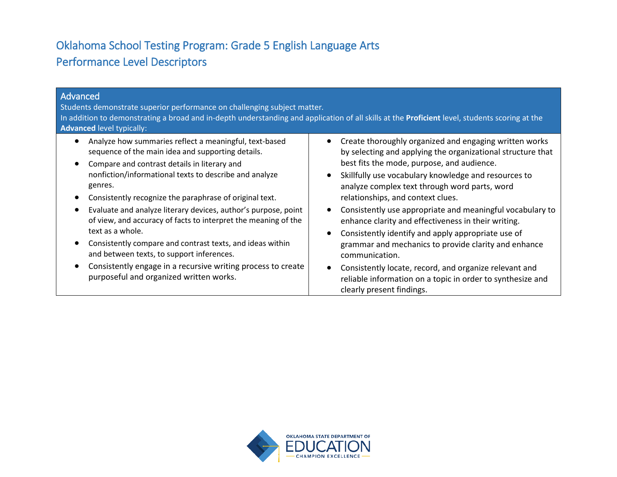# Oklahoma School Testing Program: Grade 5 English Language Arts Performance Level Descriptors

| Advanced<br>Students demonstrate superior performance on challenging subject matter.<br>In addition to demonstrating a broad and in-depth understanding and application of all skills at the Proficient level, students scoring at the<br><b>Advanced level typically:</b>                                                                                                                                                                                                                                                                                                                                                                                               |                                                                                                                                                                                                                                                                                                                                                                                                                                                                                                                                                                                                                                                                                                                                                                                             |
|--------------------------------------------------------------------------------------------------------------------------------------------------------------------------------------------------------------------------------------------------------------------------------------------------------------------------------------------------------------------------------------------------------------------------------------------------------------------------------------------------------------------------------------------------------------------------------------------------------------------------------------------------------------------------|---------------------------------------------------------------------------------------------------------------------------------------------------------------------------------------------------------------------------------------------------------------------------------------------------------------------------------------------------------------------------------------------------------------------------------------------------------------------------------------------------------------------------------------------------------------------------------------------------------------------------------------------------------------------------------------------------------------------------------------------------------------------------------------------|
| Analyze how summaries reflect a meaningful, text-based<br>sequence of the main idea and supporting details.<br>Compare and contrast details in literary and<br>nonfiction/informational texts to describe and analyze<br>genres.<br>Consistently recognize the paraphrase of original text.<br>Evaluate and analyze literary devices, author's purpose, point<br>of view, and accuracy of facts to interpret the meaning of the<br>text as a whole.<br>Consistently compare and contrast texts, and ideas within<br>and between texts, to support inferences.<br>Consistently engage in a recursive writing process to create<br>purposeful and organized written works. | Create thoroughly organized and engaging written works<br>$\bullet$<br>by selecting and applying the organizational structure that<br>best fits the mode, purpose, and audience.<br>Skillfully use vocabulary knowledge and resources to<br>$\bullet$<br>analyze complex text through word parts, word<br>relationships, and context clues.<br>Consistently use appropriate and meaningful vocabulary to<br>$\bullet$<br>enhance clarity and effectiveness in their writing.<br>Consistently identify and apply appropriate use of<br>$\bullet$<br>grammar and mechanics to provide clarity and enhance<br>communication.<br>Consistently locate, record, and organize relevant and<br>$\bullet$<br>reliable information on a topic in order to synthesize and<br>clearly present findings. |

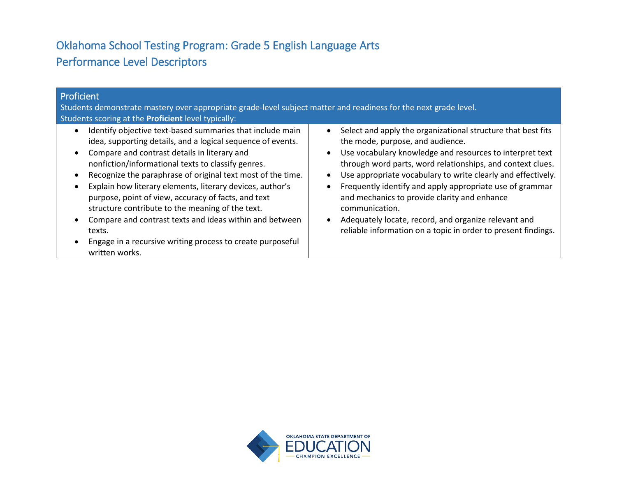# Oklahoma School Testing Program: Grade 5 English Language Arts Performance Level Descriptors

| Proficient<br>Students demonstrate mastery over appropriate grade-level subject matter and readiness for the next grade level.<br>Students scoring at the <b>Proficient</b> level typically:                                                                                                                                                                                                                                                                                                                                                                                                                               |                                                                                                                                                                                                                                                                                                                                                                                                                                                                                                                                                                                          |
|----------------------------------------------------------------------------------------------------------------------------------------------------------------------------------------------------------------------------------------------------------------------------------------------------------------------------------------------------------------------------------------------------------------------------------------------------------------------------------------------------------------------------------------------------------------------------------------------------------------------------|------------------------------------------------------------------------------------------------------------------------------------------------------------------------------------------------------------------------------------------------------------------------------------------------------------------------------------------------------------------------------------------------------------------------------------------------------------------------------------------------------------------------------------------------------------------------------------------|
| Identify objective text-based summaries that include main<br>idea, supporting details, and a logical sequence of events.<br>Compare and contrast details in literary and<br>nonfiction/informational texts to classify genres.<br>Recognize the paraphrase of original text most of the time.<br>Explain how literary elements, literary devices, author's<br>purpose, point of view, accuracy of facts, and text<br>structure contribute to the meaning of the text.<br>Compare and contrast texts and ideas within and between<br>texts.<br>Engage in a recursive writing process to create purposeful<br>written works. | Select and apply the organizational structure that best fits<br>$\bullet$<br>the mode, purpose, and audience.<br>Use vocabulary knowledge and resources to interpret text<br>$\bullet$<br>through word parts, word relationships, and context clues.<br>Use appropriate vocabulary to write clearly and effectively.<br>Frequently identify and apply appropriate use of grammar<br>and mechanics to provide clarity and enhance<br>communication.<br>Adequately locate, record, and organize relevant and<br>$\bullet$<br>reliable information on a topic in order to present findings. |

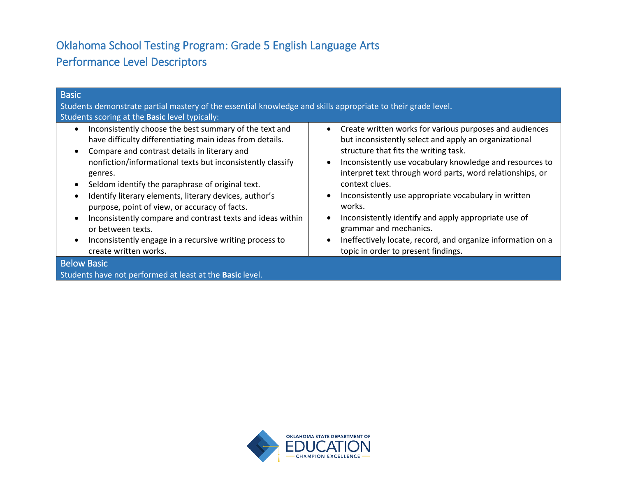# Oklahoma School Testing Program: Grade 5 English Language Arts Performance Level Descriptors

| <b>Basic</b><br>Students demonstrate partial mastery of the essential knowledge and skills appropriate to their grade level.                                                                                                                                                                                                                                                                                                                                                                                                                                                                   |                                                                                                                                                                                                                                                                                                                                                                                                                                                                                                                                                                                                                                 |
|------------------------------------------------------------------------------------------------------------------------------------------------------------------------------------------------------------------------------------------------------------------------------------------------------------------------------------------------------------------------------------------------------------------------------------------------------------------------------------------------------------------------------------------------------------------------------------------------|---------------------------------------------------------------------------------------------------------------------------------------------------------------------------------------------------------------------------------------------------------------------------------------------------------------------------------------------------------------------------------------------------------------------------------------------------------------------------------------------------------------------------------------------------------------------------------------------------------------------------------|
| Students scoring at the Basic level typically:                                                                                                                                                                                                                                                                                                                                                                                                                                                                                                                                                 |                                                                                                                                                                                                                                                                                                                                                                                                                                                                                                                                                                                                                                 |
| Inconsistently choose the best summary of the text and<br>have difficulty differentiating main ideas from details.<br>Compare and contrast details in literary and<br>nonfiction/informational texts but inconsistently classify<br>genres.<br>Seldom identify the paraphrase of original text.<br>$\bullet$<br>Identify literary elements, literary devices, author's<br>purpose, point of view, or accuracy of facts.<br>Inconsistently compare and contrast texts and ideas within<br>or between texts.<br>Inconsistently engage in a recursive writing process to<br>create written works. | Create written works for various purposes and audiences<br>$\bullet$<br>but inconsistently select and apply an organizational<br>structure that fits the writing task.<br>Inconsistently use vocabulary knowledge and resources to<br>$\bullet$<br>interpret text through word parts, word relationships, or<br>context clues.<br>Inconsistently use appropriate vocabulary in written<br>$\bullet$<br>works.<br>Inconsistently identify and apply appropriate use of<br>$\bullet$<br>grammar and mechanics.<br>Ineffectively locate, record, and organize information on a<br>$\bullet$<br>topic in order to present findings. |
| <b>Below Basic</b>                                                                                                                                                                                                                                                                                                                                                                                                                                                                                                                                                                             |                                                                                                                                                                                                                                                                                                                                                                                                                                                                                                                                                                                                                                 |
| Students have not performed at least at the Basic level.                                                                                                                                                                                                                                                                                                                                                                                                                                                                                                                                       |                                                                                                                                                                                                                                                                                                                                                                                                                                                                                                                                                                                                                                 |

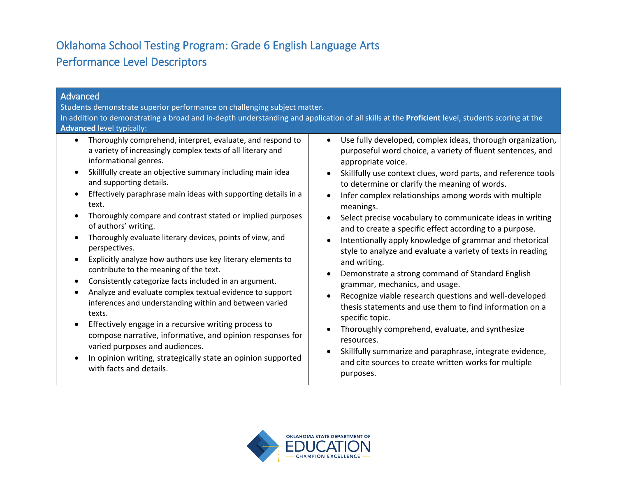# Oklahoma School Testing Program: Grade 6 English Language Arts Performance Level Descriptors

| Advanced<br>Students demonstrate superior performance on challenging subject matter.<br>In addition to demonstrating a broad and in-depth understanding and application of all skills at the Proficient level, students scoring at the<br><b>Advanced level typically:</b> |                                                               |
|----------------------------------------------------------------------------------------------------------------------------------------------------------------------------------------------------------------------------------------------------------------------------|---------------------------------------------------------------|
| Thoroughly comprehend, interpret, evaluate, and respond to                                                                                                                                                                                                                 | Use fully developed, complex ideas, thorough organization,    |
| $\bullet$                                                                                                                                                                                                                                                                  | $\bullet$                                                     |
| a variety of increasingly complex texts of all literary and                                                                                                                                                                                                                | purposeful word choice, a variety of fluent sentences, and    |
| informational genres.                                                                                                                                                                                                                                                      | appropriate voice.                                            |
| Skillfully create an objective summary including main idea                                                                                                                                                                                                                 | Skillfully use context clues, word parts, and reference tools |
| and supporting details.                                                                                                                                                                                                                                                    | $\bullet$                                                     |
| Effectively paraphrase main ideas with supporting details in a                                                                                                                                                                                                             | to determine or clarify the meaning of words.                 |
| text.                                                                                                                                                                                                                                                                      | Infer complex relationships among words with multiple         |
| Thoroughly compare and contrast stated or implied purposes                                                                                                                                                                                                                 | meanings.                                                     |
| of authors' writing.                                                                                                                                                                                                                                                       | Select precise vocabulary to communicate ideas in writing     |
| Thoroughly evaluate literary devices, points of view, and                                                                                                                                                                                                                  | and to create a specific effect according to a purpose.       |
| perspectives.                                                                                                                                                                                                                                                              | Intentionally apply knowledge of grammar and rhetorical       |
| Explicitly analyze how authors use key literary elements to                                                                                                                                                                                                                | style to analyze and evaluate a variety of texts in reading   |
| contribute to the meaning of the text.                                                                                                                                                                                                                                     | and writing.                                                  |
| Consistently categorize facts included in an argument.                                                                                                                                                                                                                     | Demonstrate a strong command of Standard English              |
| $\bullet$                                                                                                                                                                                                                                                                  | $\bullet$                                                     |
| Analyze and evaluate complex textual evidence to support                                                                                                                                                                                                                   | grammar, mechanics, and usage.                                |
| inferences and understanding within and between varied                                                                                                                                                                                                                     | Recognize viable research questions and well-developed        |
| texts.                                                                                                                                                                                                                                                                     | thesis statements and use them to find information on a       |
| Effectively engage in a recursive writing process to                                                                                                                                                                                                                       | specific topic.                                               |
| $\bullet$                                                                                                                                                                                                                                                                  | Thoroughly comprehend, evaluate, and synthesize               |
| compose narrative, informative, and opinion responses for                                                                                                                                                                                                                  | resources.                                                    |
| varied purposes and audiences.                                                                                                                                                                                                                                             | Skillfully summarize and paraphrase, integrate evidence,      |
| In opinion writing, strategically state an opinion supported                                                                                                                                                                                                               | and cite sources to create written works for multiple         |
| with facts and details.                                                                                                                                                                                                                                                    | purposes.                                                     |

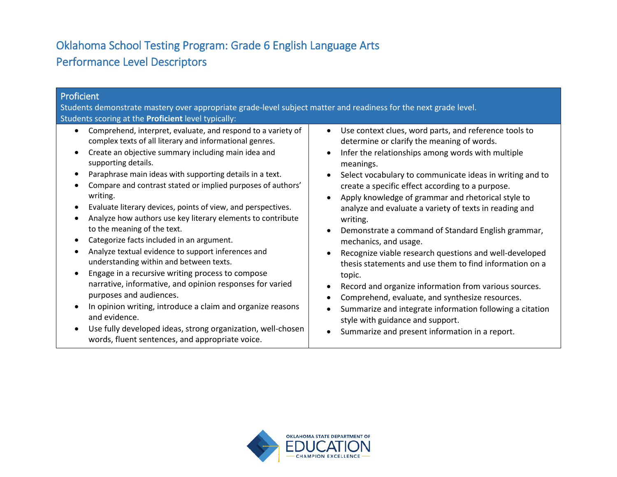# Oklahoma School Testing Program: Grade 6 English Language Arts Performance Level Descriptors

| Proficient<br>Students demonstrate mastery over appropriate grade-level subject matter and readiness for the next grade level.<br>Students scoring at the Proficient level typically:                                                                                                                                                                                                                                                                                                                                                                                                                                                                                                                                                                                                                                                                                                                                                                                                                             |                                                                                                                                                                                                                                                                                                                                                                                                                                                                                                                                                                                                                                                                                                                                                                                                                                                                                                                                                                                                                                 |
|-------------------------------------------------------------------------------------------------------------------------------------------------------------------------------------------------------------------------------------------------------------------------------------------------------------------------------------------------------------------------------------------------------------------------------------------------------------------------------------------------------------------------------------------------------------------------------------------------------------------------------------------------------------------------------------------------------------------------------------------------------------------------------------------------------------------------------------------------------------------------------------------------------------------------------------------------------------------------------------------------------------------|---------------------------------------------------------------------------------------------------------------------------------------------------------------------------------------------------------------------------------------------------------------------------------------------------------------------------------------------------------------------------------------------------------------------------------------------------------------------------------------------------------------------------------------------------------------------------------------------------------------------------------------------------------------------------------------------------------------------------------------------------------------------------------------------------------------------------------------------------------------------------------------------------------------------------------------------------------------------------------------------------------------------------------|
| Comprehend, interpret, evaluate, and respond to a variety of<br>$\bullet$<br>complex texts of all literary and informational genres.<br>Create an objective summary including main idea and<br>supporting details.<br>Paraphrase main ideas with supporting details in a text.<br>Compare and contrast stated or implied purposes of authors'<br>writing.<br>Evaluate literary devices, points of view, and perspectives.<br>Analyze how authors use key literary elements to contribute<br>to the meaning of the text.<br>Categorize facts included in an argument.<br>Analyze textual evidence to support inferences and<br>understanding within and between texts.<br>Engage in a recursive writing process to compose<br>narrative, informative, and opinion responses for varied<br>purposes and audiences.<br>In opinion writing, introduce a claim and organize reasons<br>and evidence.<br>Use fully developed ideas, strong organization, well-chosen<br>words, fluent sentences, and appropriate voice. | Use context clues, word parts, and reference tools to<br>$\bullet$<br>determine or clarify the meaning of words.<br>Infer the relationships among words with multiple<br>$\bullet$<br>meanings.<br>Select vocabulary to communicate ideas in writing and to<br>$\bullet$<br>create a specific effect according to a purpose.<br>Apply knowledge of grammar and rhetorical style to<br>$\bullet$<br>analyze and evaluate a variety of texts in reading and<br>writing.<br>Demonstrate a command of Standard English grammar,<br>$\bullet$<br>mechanics, and usage.<br>Recognize viable research questions and well-developed<br>$\bullet$<br>thesis statements and use them to find information on a<br>topic.<br>Record and organize information from various sources.<br>$\bullet$<br>Comprehend, evaluate, and synthesize resources.<br>$\bullet$<br>Summarize and integrate information following a citation<br>$\bullet$<br>style with guidance and support.<br>Summarize and present information in a report.<br>$\bullet$ |

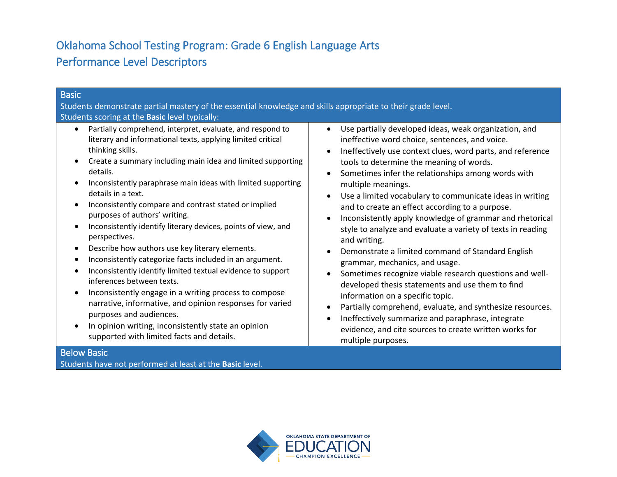# Oklahoma School Testing Program: Grade 6 English Language Arts Performance Level Descriptors

| Basic                                                                                                                                                                                                                                                                                                                                                                                                                                                                                                                                                                                                                                                                                                                                                                                                                                                                                                                                                                          |                                                                                                                                                                                                                                                                                                                                                                                                                                                                                                                                                                                                                                                                                                                                                                                                                                                                                                                                                                                                                  |
|--------------------------------------------------------------------------------------------------------------------------------------------------------------------------------------------------------------------------------------------------------------------------------------------------------------------------------------------------------------------------------------------------------------------------------------------------------------------------------------------------------------------------------------------------------------------------------------------------------------------------------------------------------------------------------------------------------------------------------------------------------------------------------------------------------------------------------------------------------------------------------------------------------------------------------------------------------------------------------|------------------------------------------------------------------------------------------------------------------------------------------------------------------------------------------------------------------------------------------------------------------------------------------------------------------------------------------------------------------------------------------------------------------------------------------------------------------------------------------------------------------------------------------------------------------------------------------------------------------------------------------------------------------------------------------------------------------------------------------------------------------------------------------------------------------------------------------------------------------------------------------------------------------------------------------------------------------------------------------------------------------|
| Students demonstrate partial mastery of the essential knowledge and skills appropriate to their grade level.                                                                                                                                                                                                                                                                                                                                                                                                                                                                                                                                                                                                                                                                                                                                                                                                                                                                   |                                                                                                                                                                                                                                                                                                                                                                                                                                                                                                                                                                                                                                                                                                                                                                                                                                                                                                                                                                                                                  |
| Students scoring at the Basic level typically:                                                                                                                                                                                                                                                                                                                                                                                                                                                                                                                                                                                                                                                                                                                                                                                                                                                                                                                                 |                                                                                                                                                                                                                                                                                                                                                                                                                                                                                                                                                                                                                                                                                                                                                                                                                                                                                                                                                                                                                  |
| Partially comprehend, interpret, evaluate, and respond to<br>literary and informational texts, applying limited critical<br>thinking skills.<br>Create a summary including main idea and limited supporting<br>details.<br>Inconsistently paraphrase main ideas with limited supporting<br>details in a text.<br>Inconsistently compare and contrast stated or implied<br>purposes of authors' writing.<br>Inconsistently identify literary devices, points of view, and<br>perspectives.<br>Describe how authors use key literary elements.<br>Inconsistently categorize facts included in an argument.<br>Inconsistently identify limited textual evidence to support<br>inferences between texts.<br>Inconsistently engage in a writing process to compose<br>narrative, informative, and opinion responses for varied<br>purposes and audiences.<br>In opinion writing, inconsistently state an opinion<br>supported with limited facts and details.<br><b>Below Basic</b> | Use partially developed ideas, weak organization, and<br>$\bullet$<br>ineffective word choice, sentences, and voice.<br>Ineffectively use context clues, word parts, and reference<br>tools to determine the meaning of words.<br>Sometimes infer the relationships among words with<br>multiple meanings.<br>Use a limited vocabulary to communicate ideas in writing<br>and to create an effect according to a purpose.<br>Inconsistently apply knowledge of grammar and rhetorical<br>style to analyze and evaluate a variety of texts in reading<br>and writing.<br>Demonstrate a limited command of Standard English<br>grammar, mechanics, and usage.<br>Sometimes recognize viable research questions and well-<br>developed thesis statements and use them to find<br>information on a specific topic.<br>Partially comprehend, evaluate, and synthesize resources.<br>Ineffectively summarize and paraphrase, integrate<br>evidence, and cite sources to create written works for<br>multiple purposes. |
|                                                                                                                                                                                                                                                                                                                                                                                                                                                                                                                                                                                                                                                                                                                                                                                                                                                                                                                                                                                |                                                                                                                                                                                                                                                                                                                                                                                                                                                                                                                                                                                                                                                                                                                                                                                                                                                                                                                                                                                                                  |

Students have not performed at least at the **Basic** level.

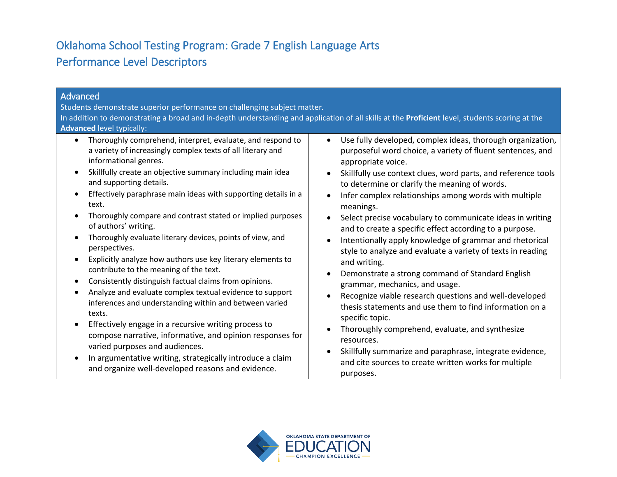# Oklahoma School Testing Program: Grade 7 English Language Arts Performance Level Descriptors

| Advanced<br>Students demonstrate superior performance on challenging subject matter.<br>In addition to demonstrating a broad and in-depth understanding and application of all skills at the Proficient level, students scoring at the<br><b>Advanced level typically:</b>                                                                                                                                                                                                                                                                                                                                                                                                                                                                                                                                                                                                                                                                                                                                                                                                                                    |                                                                                                                                                                                                                                                                                                                                                                                                                                                                                                                                                                                                                                                                                                                                                                                                                                                                                                                                                                                                                                                                                                                                      |
|---------------------------------------------------------------------------------------------------------------------------------------------------------------------------------------------------------------------------------------------------------------------------------------------------------------------------------------------------------------------------------------------------------------------------------------------------------------------------------------------------------------------------------------------------------------------------------------------------------------------------------------------------------------------------------------------------------------------------------------------------------------------------------------------------------------------------------------------------------------------------------------------------------------------------------------------------------------------------------------------------------------------------------------------------------------------------------------------------------------|--------------------------------------------------------------------------------------------------------------------------------------------------------------------------------------------------------------------------------------------------------------------------------------------------------------------------------------------------------------------------------------------------------------------------------------------------------------------------------------------------------------------------------------------------------------------------------------------------------------------------------------------------------------------------------------------------------------------------------------------------------------------------------------------------------------------------------------------------------------------------------------------------------------------------------------------------------------------------------------------------------------------------------------------------------------------------------------------------------------------------------------|
| Thoroughly comprehend, interpret, evaluate, and respond to<br>$\bullet$<br>a variety of increasingly complex texts of all literary and<br>informational genres.<br>Skillfully create an objective summary including main idea<br>and supporting details.<br>Effectively paraphrase main ideas with supporting details in a<br>text.<br>Thoroughly compare and contrast stated or implied purposes<br>of authors' writing.<br>Thoroughly evaluate literary devices, points of view, and<br>perspectives.<br>Explicitly analyze how authors use key literary elements to<br>contribute to the meaning of the text.<br>Consistently distinguish factual claims from opinions.<br>$\bullet$<br>Analyze and evaluate complex textual evidence to support<br>inferences and understanding within and between varied<br>texts.<br>Effectively engage in a recursive writing process to<br>$\bullet$<br>compose narrative, informative, and opinion responses for<br>varied purposes and audiences.<br>In argumentative writing, strategically introduce a claim<br>and organize well-developed reasons and evidence. | Use fully developed, complex ideas, thorough organization,<br>$\bullet$<br>purposeful word choice, a variety of fluent sentences, and<br>appropriate voice.<br>Skillfully use context clues, word parts, and reference tools<br>to determine or clarify the meaning of words.<br>Infer complex relationships among words with multiple<br>$\bullet$<br>meanings.<br>Select precise vocabulary to communicate ideas in writing<br>$\bullet$<br>and to create a specific effect according to a purpose.<br>Intentionally apply knowledge of grammar and rhetorical<br>$\bullet$<br>style to analyze and evaluate a variety of texts in reading<br>and writing.<br>Demonstrate a strong command of Standard English<br>$\bullet$<br>grammar, mechanics, and usage.<br>Recognize viable research questions and well-developed<br>$\bullet$<br>thesis statements and use them to find information on a<br>specific topic.<br>Thoroughly comprehend, evaluate, and synthesize<br>resources.<br>Skillfully summarize and paraphrase, integrate evidence,<br>$\bullet$<br>and cite sources to create written works for multiple<br>purposes. |

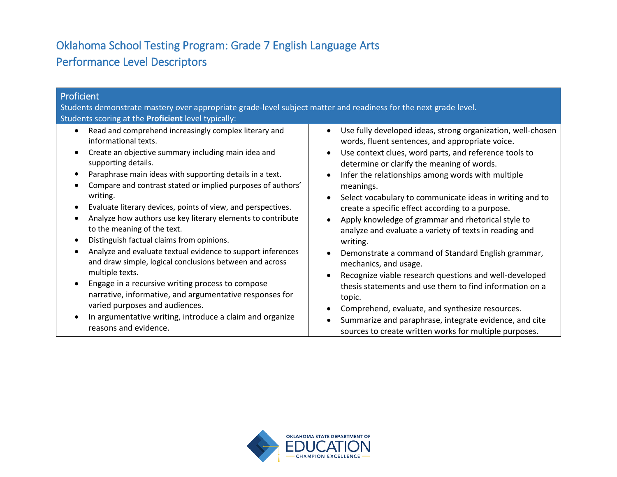# Oklahoma School Testing Program: Grade 7 English Language Arts Performance Level Descriptors

| Proficient<br>Students demonstrate mastery over appropriate grade-level subject matter and readiness for the next grade level.<br>Students scoring at the Proficient level typically:                                                                                                                                                                                                                                                                                                                                                                                                                                                                                                                                                                                                                                                                                                            |                                                                                                                                                                                                                                                                                                                                                                                                                                                                                                                                                                                                                                                                                                                                                                                                                                                                                                                                                                                           |
|--------------------------------------------------------------------------------------------------------------------------------------------------------------------------------------------------------------------------------------------------------------------------------------------------------------------------------------------------------------------------------------------------------------------------------------------------------------------------------------------------------------------------------------------------------------------------------------------------------------------------------------------------------------------------------------------------------------------------------------------------------------------------------------------------------------------------------------------------------------------------------------------------|-------------------------------------------------------------------------------------------------------------------------------------------------------------------------------------------------------------------------------------------------------------------------------------------------------------------------------------------------------------------------------------------------------------------------------------------------------------------------------------------------------------------------------------------------------------------------------------------------------------------------------------------------------------------------------------------------------------------------------------------------------------------------------------------------------------------------------------------------------------------------------------------------------------------------------------------------------------------------------------------|
| Read and comprehend increasingly complex literary and<br>informational texts.<br>Create an objective summary including main idea and<br>supporting details.<br>Paraphrase main ideas with supporting details in a text.<br>Compare and contrast stated or implied purposes of authors'<br>writing.<br>Evaluate literary devices, points of view, and perspectives.<br>Analyze how authors use key literary elements to contribute<br>to the meaning of the text.<br>Distinguish factual claims from opinions.<br>Analyze and evaluate textual evidence to support inferences<br>and draw simple, logical conclusions between and across<br>multiple texts.<br>Engage in a recursive writing process to compose<br>narrative, informative, and argumentative responses for<br>varied purposes and audiences.<br>In argumentative writing, introduce a claim and organize<br>reasons and evidence. | Use fully developed ideas, strong organization, well-chosen<br>$\bullet$<br>words, fluent sentences, and appropriate voice.<br>Use context clues, word parts, and reference tools to<br>$\bullet$<br>determine or clarify the meaning of words.<br>Infer the relationships among words with multiple<br>$\bullet$<br>meanings.<br>Select vocabulary to communicate ideas in writing and to<br>create a specific effect according to a purpose.<br>Apply knowledge of grammar and rhetorical style to<br>$\bullet$<br>analyze and evaluate a variety of texts in reading and<br>writing.<br>Demonstrate a command of Standard English grammar,<br>$\bullet$<br>mechanics, and usage.<br>Recognize viable research questions and well-developed<br>thesis statements and use them to find information on a<br>topic.<br>Comprehend, evaluate, and synthesize resources.<br>Summarize and paraphrase, integrate evidence, and cite<br>sources to create written works for multiple purposes. |

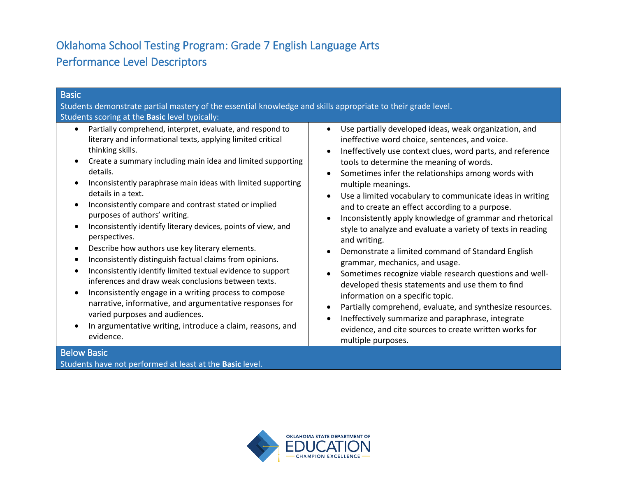# Oklahoma School Testing Program: Grade 7 English Language Arts Performance Level Descriptors

| <b>Basic</b>                                                                                                                                                                                                                                                                                                                                                                                                                                                                                                                                                                                                                                                                                                                                                                                                                                                                                                                                                   |                                                                                                                                                                                                                                                                                                                                                                                                                                                                                                                                                                                                                                                                                                                                                                                                                                                                                                                                                                                                                  |
|----------------------------------------------------------------------------------------------------------------------------------------------------------------------------------------------------------------------------------------------------------------------------------------------------------------------------------------------------------------------------------------------------------------------------------------------------------------------------------------------------------------------------------------------------------------------------------------------------------------------------------------------------------------------------------------------------------------------------------------------------------------------------------------------------------------------------------------------------------------------------------------------------------------------------------------------------------------|------------------------------------------------------------------------------------------------------------------------------------------------------------------------------------------------------------------------------------------------------------------------------------------------------------------------------------------------------------------------------------------------------------------------------------------------------------------------------------------------------------------------------------------------------------------------------------------------------------------------------------------------------------------------------------------------------------------------------------------------------------------------------------------------------------------------------------------------------------------------------------------------------------------------------------------------------------------------------------------------------------------|
| Students demonstrate partial mastery of the essential knowledge and skills appropriate to their grade level.<br>Students scoring at the Basic level typically:                                                                                                                                                                                                                                                                                                                                                                                                                                                                                                                                                                                                                                                                                                                                                                                                 |                                                                                                                                                                                                                                                                                                                                                                                                                                                                                                                                                                                                                                                                                                                                                                                                                                                                                                                                                                                                                  |
| Partially comprehend, interpret, evaluate, and respond to<br>literary and informational texts, applying limited critical<br>thinking skills.<br>Create a summary including main idea and limited supporting<br>details.<br>Inconsistently paraphrase main ideas with limited supporting<br>details in a text.<br>Inconsistently compare and contrast stated or implied<br>purposes of authors' writing.<br>Inconsistently identify literary devices, points of view, and<br>perspectives.<br>Describe how authors use key literary elements.<br>Inconsistently distinguish factual claims from opinions.<br>Inconsistently identify limited textual evidence to support<br>inferences and draw weak conclusions between texts.<br>Inconsistently engage in a writing process to compose<br>narrative, informative, and argumentative responses for<br>varied purposes and audiences.<br>In argumentative writing, introduce a claim, reasons, and<br>evidence. | Use partially developed ideas, weak organization, and<br>$\bullet$<br>ineffective word choice, sentences, and voice.<br>Ineffectively use context clues, word parts, and reference<br>tools to determine the meaning of words.<br>Sometimes infer the relationships among words with<br>multiple meanings.<br>Use a limited vocabulary to communicate ideas in writing<br>and to create an effect according to a purpose.<br>Inconsistently apply knowledge of grammar and rhetorical<br>style to analyze and evaluate a variety of texts in reading<br>and writing.<br>Demonstrate a limited command of Standard English<br>grammar, mechanics, and usage.<br>Sometimes recognize viable research questions and well-<br>developed thesis statements and use them to find<br>information on a specific topic.<br>Partially comprehend, evaluate, and synthesize resources.<br>Ineffectively summarize and paraphrase, integrate<br>evidence, and cite sources to create written works for<br>multiple purposes. |
| <b>Below Basic</b>                                                                                                                                                                                                                                                                                                                                                                                                                                                                                                                                                                                                                                                                                                                                                                                                                                                                                                                                             |                                                                                                                                                                                                                                                                                                                                                                                                                                                                                                                                                                                                                                                                                                                                                                                                                                                                                                                                                                                                                  |

Students have not performed at least at the **Basic** level.

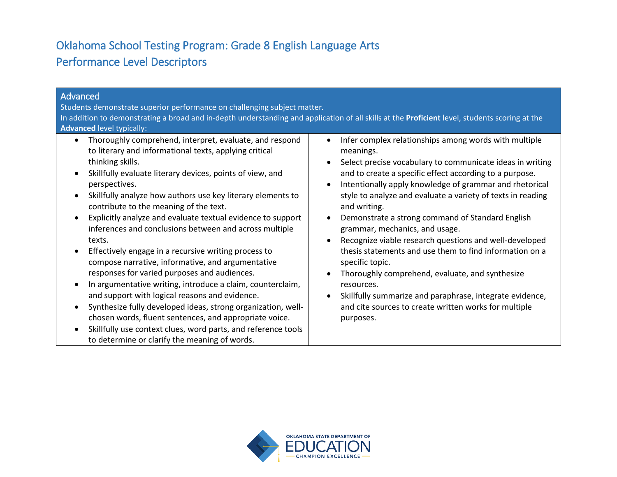# Oklahoma School Testing Program: Grade 8 English Language Arts Performance Level Descriptors

| Advanced<br>Students demonstrate superior performance on challenging subject matter.<br>In addition to demonstrating a broad and in-depth understanding and application of all skills at the Proficient level, students scoring at the<br><b>Advanced level typically:</b>                                                                                                                                                                                                                                                                                                                                                                                                                                                                                                                                                                                                                                                                                                                            |                                                                                                                                                                                                                                                                                                                                                                                                                                                                                                                                                                                                                                                                                                                                                                                                                                                                  |
|-------------------------------------------------------------------------------------------------------------------------------------------------------------------------------------------------------------------------------------------------------------------------------------------------------------------------------------------------------------------------------------------------------------------------------------------------------------------------------------------------------------------------------------------------------------------------------------------------------------------------------------------------------------------------------------------------------------------------------------------------------------------------------------------------------------------------------------------------------------------------------------------------------------------------------------------------------------------------------------------------------|------------------------------------------------------------------------------------------------------------------------------------------------------------------------------------------------------------------------------------------------------------------------------------------------------------------------------------------------------------------------------------------------------------------------------------------------------------------------------------------------------------------------------------------------------------------------------------------------------------------------------------------------------------------------------------------------------------------------------------------------------------------------------------------------------------------------------------------------------------------|
| Thoroughly comprehend, interpret, evaluate, and respond<br>$\bullet$<br>to literary and informational texts, applying critical<br>thinking skills.<br>Skillfully evaluate literary devices, points of view, and<br>perspectives.<br>Skillfully analyze how authors use key literary elements to<br>contribute to the meaning of the text.<br>Explicitly analyze and evaluate textual evidence to support<br>inferences and conclusions between and across multiple<br>texts.<br>Effectively engage in a recursive writing process to<br>compose narrative, informative, and argumentative<br>responses for varied purposes and audiences.<br>In argumentative writing, introduce a claim, counterclaim,<br>and support with logical reasons and evidence.<br>Synthesize fully developed ideas, strong organization, well-<br>chosen words, fluent sentences, and appropriate voice.<br>Skillfully use context clues, word parts, and reference tools<br>to determine or clarify the meaning of words. | Infer complex relationships among words with multiple<br>$\bullet$<br>meanings.<br>Select precise vocabulary to communicate ideas in writing<br>$\bullet$<br>and to create a specific effect according to a purpose.<br>Intentionally apply knowledge of grammar and rhetorical<br>$\bullet$<br>style to analyze and evaluate a variety of texts in reading<br>and writing.<br>Demonstrate a strong command of Standard English<br>$\bullet$<br>grammar, mechanics, and usage.<br>Recognize viable research questions and well-developed<br>$\bullet$<br>thesis statements and use them to find information on a<br>specific topic.<br>Thoroughly comprehend, evaluate, and synthesize<br>$\bullet$<br>resources.<br>Skillfully summarize and paraphrase, integrate evidence,<br>$\bullet$<br>and cite sources to create written works for multiple<br>purposes. |

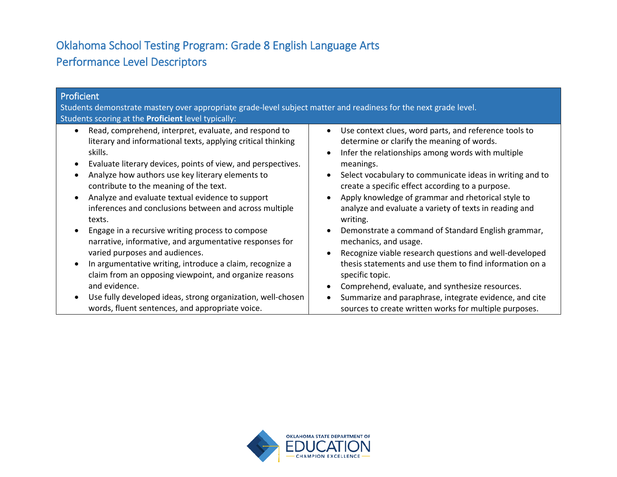# Oklahoma School Testing Program: Grade 8 English Language Arts Performance Level Descriptors

| Proficient<br>Students demonstrate mastery over appropriate grade-level subject matter and readiness for the next grade level.<br>Students scoring at the <b>Proficient</b> level typically:                                                                                                                                                                                                                                                                                                                                                                                                                                                                                                                                                                                  |                                                                                                                                                                                                                                                                                                                                                                                                                                                                                                                                                                                                                                                                                                                                                                                                                                                               |
|-------------------------------------------------------------------------------------------------------------------------------------------------------------------------------------------------------------------------------------------------------------------------------------------------------------------------------------------------------------------------------------------------------------------------------------------------------------------------------------------------------------------------------------------------------------------------------------------------------------------------------------------------------------------------------------------------------------------------------------------------------------------------------|---------------------------------------------------------------------------------------------------------------------------------------------------------------------------------------------------------------------------------------------------------------------------------------------------------------------------------------------------------------------------------------------------------------------------------------------------------------------------------------------------------------------------------------------------------------------------------------------------------------------------------------------------------------------------------------------------------------------------------------------------------------------------------------------------------------------------------------------------------------|
| Read, comprehend, interpret, evaluate, and respond to<br>literary and informational texts, applying critical thinking<br>skills.<br>Evaluate literary devices, points of view, and perspectives.<br>Analyze how authors use key literary elements to<br>contribute to the meaning of the text.<br>Analyze and evaluate textual evidence to support<br>inferences and conclusions between and across multiple<br>texts.<br>Engage in a recursive writing process to compose<br>narrative, informative, and argumentative responses for<br>varied purposes and audiences.<br>In argumentative writing, introduce a claim, recognize a<br>claim from an opposing viewpoint, and organize reasons<br>and evidence.<br>Use fully developed ideas, strong organization, well-chosen | Use context clues, word parts, and reference tools to<br>$\bullet$<br>determine or clarify the meaning of words.<br>Infer the relationships among words with multiple<br>$\bullet$<br>meanings.<br>Select vocabulary to communicate ideas in writing and to<br>$\bullet$<br>create a specific effect according to a purpose.<br>Apply knowledge of grammar and rhetorical style to<br>$\bullet$<br>analyze and evaluate a variety of texts in reading and<br>writing.<br>Demonstrate a command of Standard English grammar,<br>$\bullet$<br>mechanics, and usage.<br>Recognize viable research questions and well-developed<br>$\bullet$<br>thesis statements and use them to find information on a<br>specific topic.<br>Comprehend, evaluate, and synthesize resources.<br>$\bullet$<br>Summarize and paraphrase, integrate evidence, and cite<br>$\bullet$ |
| words, fluent sentences, and appropriate voice.                                                                                                                                                                                                                                                                                                                                                                                                                                                                                                                                                                                                                                                                                                                               | sources to create written works for multiple purposes.                                                                                                                                                                                                                                                                                                                                                                                                                                                                                                                                                                                                                                                                                                                                                                                                        |

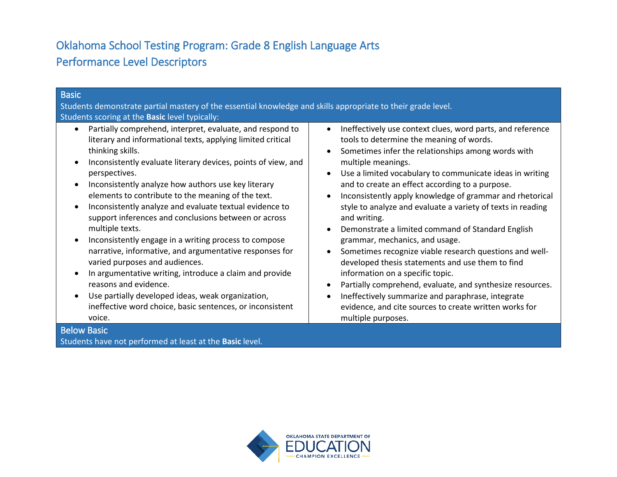# Oklahoma School Testing Program: Grade 8 English Language Arts Performance Level Descriptors

| <b>Basic</b>                                                                                                                                                                                                                                                                                                                                                                                                                                                                                                                                                                                                                                                                                                                                                                                                                                                                  |                                                                                                                                                                                                                                                                                                                                                                                                                                                                                                                                                                                                                                                                                                                                                                                                                                                                                                                                                                                                  |
|-------------------------------------------------------------------------------------------------------------------------------------------------------------------------------------------------------------------------------------------------------------------------------------------------------------------------------------------------------------------------------------------------------------------------------------------------------------------------------------------------------------------------------------------------------------------------------------------------------------------------------------------------------------------------------------------------------------------------------------------------------------------------------------------------------------------------------------------------------------------------------|--------------------------------------------------------------------------------------------------------------------------------------------------------------------------------------------------------------------------------------------------------------------------------------------------------------------------------------------------------------------------------------------------------------------------------------------------------------------------------------------------------------------------------------------------------------------------------------------------------------------------------------------------------------------------------------------------------------------------------------------------------------------------------------------------------------------------------------------------------------------------------------------------------------------------------------------------------------------------------------------------|
| Students demonstrate partial mastery of the essential knowledge and skills appropriate to their grade level.                                                                                                                                                                                                                                                                                                                                                                                                                                                                                                                                                                                                                                                                                                                                                                  |                                                                                                                                                                                                                                                                                                                                                                                                                                                                                                                                                                                                                                                                                                                                                                                                                                                                                                                                                                                                  |
| Students scoring at the Basic level typically:                                                                                                                                                                                                                                                                                                                                                                                                                                                                                                                                                                                                                                                                                                                                                                                                                                |                                                                                                                                                                                                                                                                                                                                                                                                                                                                                                                                                                                                                                                                                                                                                                                                                                                                                                                                                                                                  |
| Partially comprehend, interpret, evaluate, and respond to<br>literary and informational texts, applying limited critical<br>thinking skills.<br>Inconsistently evaluate literary devices, points of view, and<br>perspectives.<br>Inconsistently analyze how authors use key literary<br>elements to contribute to the meaning of the text.<br>Inconsistently analyze and evaluate textual evidence to<br>support inferences and conclusions between or across<br>multiple texts.<br>Inconsistently engage in a writing process to compose<br>narrative, informative, and argumentative responses for<br>varied purposes and audiences.<br>In argumentative writing, introduce a claim and provide<br>reasons and evidence.<br>Use partially developed ideas, weak organization,<br>ineffective word choice, basic sentences, or inconsistent<br>voice.<br><b>Below Basic</b> | Ineffectively use context clues, word parts, and reference<br>$\bullet$<br>tools to determine the meaning of words.<br>Sometimes infer the relationships among words with<br>$\bullet$<br>multiple meanings.<br>Use a limited vocabulary to communicate ideas in writing<br>$\bullet$<br>and to create an effect according to a purpose.<br>Inconsistently apply knowledge of grammar and rhetorical<br>$\bullet$<br>style to analyze and evaluate a variety of texts in reading<br>and writing.<br>Demonstrate a limited command of Standard English<br>$\bullet$<br>grammar, mechanics, and usage.<br>Sometimes recognize viable research questions and well-<br>$\bullet$<br>developed thesis statements and use them to find<br>information on a specific topic.<br>Partially comprehend, evaluate, and synthesize resources.<br>$\bullet$<br>Ineffectively summarize and paraphrase, integrate<br>$\bullet$<br>evidence, and cite sources to create written works for<br>multiple purposes. |
| Students have not performed at least at the Basic level.                                                                                                                                                                                                                                                                                                                                                                                                                                                                                                                                                                                                                                                                                                                                                                                                                      |                                                                                                                                                                                                                                                                                                                                                                                                                                                                                                                                                                                                                                                                                                                                                                                                                                                                                                                                                                                                  |

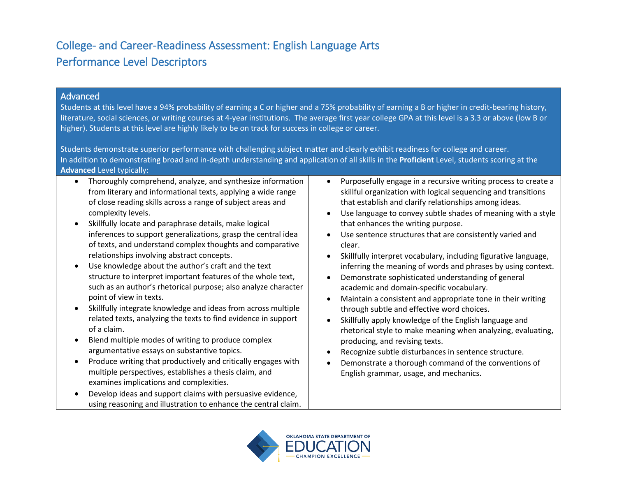## College- and Career-Readiness Assessment: English Language Arts Performance Level Descriptors

### Advanced

Students at this level have a 94% probability of earning a C or higher and a 75% probability of earning a B or higher in credit-bearing history, literature, social sciences, or writing courses at 4-year institutions. The average first year college GPA at this level is a 3.3 or above (low B or higher). Students at this level are highly likely to be on track for success in college or career.

Students demonstrate superior performance with challenging subject matter and clearly exhibit readiness for college and career. In addition to demonstrating broad and in-depth understanding and application of all skills in the **Proficient** Level, students scoring at the **Advanced** Level typically:

- Thoroughly comprehend, analyze, and synthesize information from literary and informational texts, applying a wide range of close reading skills across a range of subject areas and complexity levels.
- Skillfully locate and paraphrase details, make logical inferences to support generalizations, grasp the central idea of texts, and understand complex thoughts and comparative relationships involving abstract concepts.
- Use knowledge about the author's craft and the text structure to interpret important features of the whole text, such as an author's rhetorical purpose; also analyze character point of view in texts.
- Skillfully integrate knowledge and ideas from across multiple related texts, analyzing the texts to find evidence in support of a claim.
- Blend multiple modes of writing to produce complex argumentative essays on substantive topics.
- Produce writing that productively and critically engages with multiple perspectives, establishes a thesis claim, and examines implications and complexities.
- Develop ideas and support claims with persuasive evidence, using reasoning and illustration to enhance the central claim.
- Purposefully engage in a recursive writing process to create a skillful organization with logical sequencing and transitions that establish and clarify relationships among ideas.
- Use language to convey subtle shades of meaning with a style that enhances the writing purpose.
- Use sentence structures that are consistently varied and clear.
- Skillfully interpret vocabulary, including figurative language, inferring the meaning of words and phrases by using context.
- Demonstrate sophisticated understanding of general academic and domain-specific vocabulary.
- Maintain a consistent and appropriate tone in their writing through subtle and effective word choices.
- Skillfully apply knowledge of the English language and rhetorical style to make meaning when analyzing, evaluating, producing, and revising texts.
- Recognize subtle disturbances in sentence structure.
- Demonstrate a thorough command of the conventions of English grammar, usage, and mechanics.

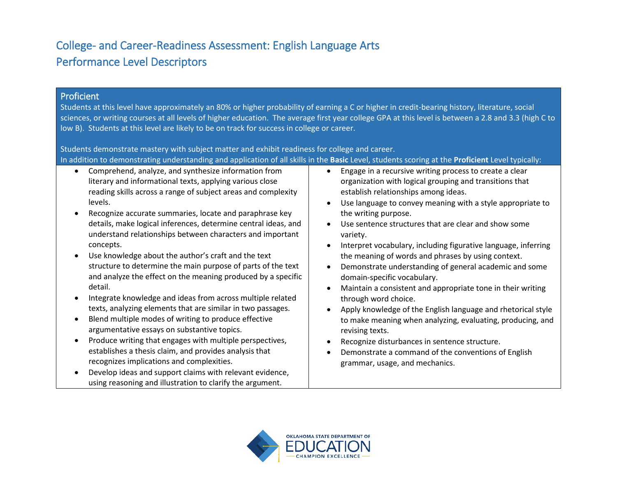## College- and Career-Readiness Assessment: English Language Arts Performance Level Descriptors

#### Proficient

Students at this level have approximately an 80% or higher probability of earning a C or higher in credit-bearing history, literature, social sciences, or writing courses at all levels of higher education. The average first year college GPA at this level is between a 2.8 and 3.3 (high C to low B). Students at this level are likely to be on track for success in college or career.

Students demonstrate mastery with subject matter and exhibit readiness for college and career.

| In addition to demonstrating understanding and application of all skills in the Basic Level, students scoring at the Proficient Level typically: |
|--------------------------------------------------------------------------------------------------------------------------------------------------|
|--------------------------------------------------------------------------------------------------------------------------------------------------|

- Comprehend, analyze, and synthesize information from literary and informational texts, applying various close reading skills across a range of subject areas and complexity levels.
- Recognize accurate summaries, locate and paraphrase key details, make logical inferences, determine central ideas, and understand relationships between characters and important concepts.
- Use knowledge about the author's craft and the text structure to determine the main purpose of parts of the text and analyze the effect on the meaning produced by a specific detail.
- Integrate knowledge and ideas from across multiple related texts, analyzing elements that are similar in two passages.
- Blend multiple modes of writing to produce effective argumentative essays on substantive topics.
- Produce writing that engages with multiple perspectives, establishes a thesis claim, and provides analysis that recognizes implications and complexities.
- Develop ideas and support claims with relevant evidence, using reasoning and illustration to clarify the argument.
- Engage in a recursive writing process to create a clear organization with logical grouping and transitions that establish relationships among ideas.
- Use language to convey meaning with a style appropriate to the writing purpose.
- Use sentence structures that are clear and show some variety.
- Interpret vocabulary, including figurative language, inferring the meaning of words and phrases by using context.
- Demonstrate understanding of general academic and some domain-specific vocabulary.
- Maintain a consistent and appropriate tone in their writing through word choice.
- Apply knowledge of the English language and rhetorical style to make meaning when analyzing, evaluating, producing, and revising texts.
- Recognize disturbances in sentence structure.
- Demonstrate a command of the conventions of English grammar, usage, and mechanics.